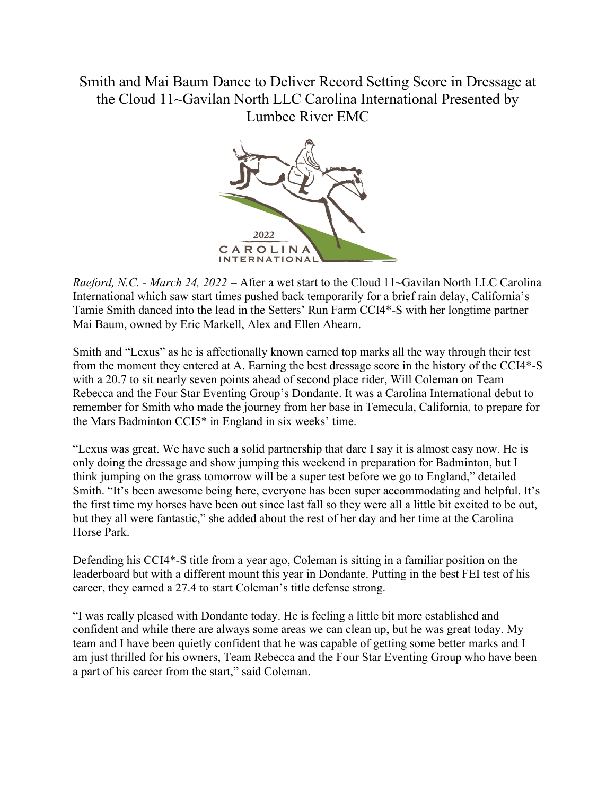## Smith and Mai Baum Dance to Deliver Record Setting Score in Dressage at the Cloud 11~Gavilan North LLC Carolina International Presented by Lumbee River EMC



*Raeford, N.C. - March 24, 2022* – After a wet start to the Cloud 11~Gavilan North LLC Carolina International which saw start times pushed back temporarily for a brief rain delay, California's Tamie Smith danced into the lead in the Setters' Run Farm CCI4\*-S with her longtime partner Mai Baum, owned by Eric Markell, Alex and Ellen Ahearn.

Smith and "Lexus" as he is affectionally known earned top marks all the way through their test from the moment they entered at A. Earning the best dressage score in the history of the CCI4\*-S with a 20.7 to sit nearly seven points ahead of second place rider, Will Coleman on Team Rebecca and the Four Star Eventing Group's Dondante. It was a Carolina International debut to remember for Smith who made the journey from her base in Temecula, California, to prepare for the Mars Badminton CCI5\* in England in six weeks' time.

"Lexus was great. We have such a solid partnership that dare I say it is almost easy now. He is only doing the dressage and show jumping this weekend in preparation for Badminton, but I think jumping on the grass tomorrow will be a super test before we go to England," detailed Smith. "It's been awesome being here, everyone has been super accommodating and helpful. It's the first time my horses have been out since last fall so they were all a little bit excited to be out, but they all were fantastic," she added about the rest of her day and her time at the Carolina Horse Park.

Defending his CCI4\*-S title from a year ago, Coleman is sitting in a familiar position on the leaderboard but with a different mount this year in Dondante. Putting in the best FEI test of his career, they earned a 27.4 to start Coleman's title defense strong.

"I was really pleased with Dondante today. He is feeling a little bit more established and confident and while there are always some areas we can clean up, but he was great today. My team and I have been quietly confident that he was capable of getting some better marks and I am just thrilled for his owners, Team Rebecca and the Four Star Eventing Group who have been a part of his career from the start," said Coleman.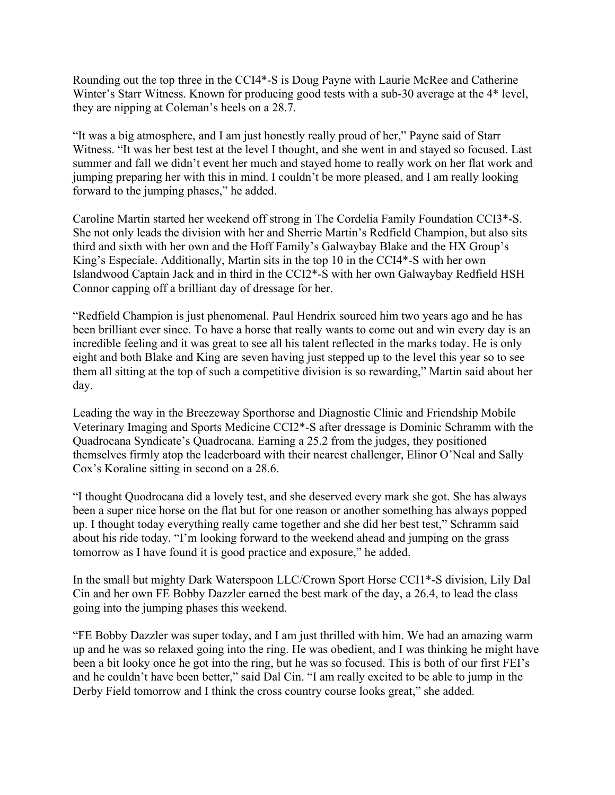Rounding out the top three in the CCI4\*-S is Doug Payne with Laurie McRee and Catherine Winter's Starr Witness. Known for producing good tests with a sub-30 average at the 4\* level, they are nipping at Coleman's heels on a 28.7.

"It was a big atmosphere, and I am just honestly really proud of her," Payne said of Starr Witness. "It was her best test at the level I thought, and she went in and stayed so focused. Last summer and fall we didn't event her much and stayed home to really work on her flat work and jumping preparing her with this in mind. I couldn't be more pleased, and I am really looking forward to the jumping phases," he added.

Caroline Martin started her weekend off strong in The Cordelia Family Foundation CCI3\*-S. She not only leads the division with her and Sherrie Martin's Redfield Champion, but also sits third and sixth with her own and the Hoff Family's Galwaybay Blake and the HX Group's King's Especiale. Additionally, Martin sits in the top 10 in the CCI4\*-S with her own Islandwood Captain Jack and in third in the CCI2\*-S with her own Galwaybay Redfield HSH Connor capping off a brilliant day of dressage for her.

"Redfield Champion is just phenomenal. Paul Hendrix sourced him two years ago and he has been brilliant ever since. To have a horse that really wants to come out and win every day is an incredible feeling and it was great to see all his talent reflected in the marks today. He is only eight and both Blake and King are seven having just stepped up to the level this year so to see them all sitting at the top of such a competitive division is so rewarding," Martin said about her day.

Leading the way in the Breezeway Sporthorse and Diagnostic Clinic and Friendship Mobile Veterinary Imaging and Sports Medicine CCI2\*-S after dressage is Dominic Schramm with the Quadrocana Syndicate's Quadrocana. Earning a 25.2 from the judges, they positioned themselves firmly atop the leaderboard with their nearest challenger, Elinor O'Neal and Sally Cox's Koraline sitting in second on a 28.6.

"I thought Quodrocana did a lovely test, and she deserved every mark she got. She has always been a super nice horse on the flat but for one reason or another something has always popped up. I thought today everything really came together and she did her best test," Schramm said about his ride today. "I'm looking forward to the weekend ahead and jumping on the grass tomorrow as I have found it is good practice and exposure," he added.

In the small but mighty Dark Waterspoon LLC/Crown Sport Horse CCI1\*-S division, Lily Dal Cin and her own FE Bobby Dazzler earned the best mark of the day, a 26.4, to lead the class going into the jumping phases this weekend.

"FE Bobby Dazzler was super today, and I am just thrilled with him. We had an amazing warm up and he was so relaxed going into the ring. He was obedient, and I was thinking he might have been a bit looky once he got into the ring, but he was so focused. This is both of our first FEI's and he couldn't have been better," said Dal Cin. "I am really excited to be able to jump in the Derby Field tomorrow and I think the cross country course looks great," she added.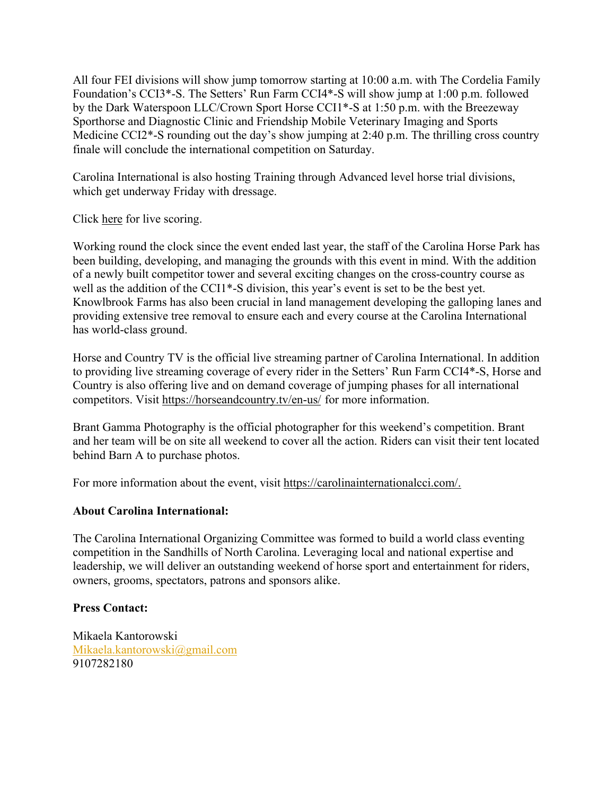All four FEI divisions will show jump tomorrow starting at 10:00 a.m. with The Cordelia Family Foundation's CCI3\*-S. The Setters' Run Farm CCI4\*-S will show jump at 1:00 p.m. followed by the Dark Waterspoon LLC/Crown Sport Horse CCI1\*-S at 1:50 p.m. with the Breezeway Sporthorse and Diagnostic Clinic and Friendship Mobile Veterinary Imaging and Sports Medicine CCI2<sup>\*</sup>-S rounding out the day's show jumping at 2:40 p.m. The thrilling cross country finale will conclude the international competition on Saturday.

Carolina International is also hosting Training through Advanced level horse trial divisions, which get underway Friday with dressage.

Click here for live scoring.

Working round the clock since the event ended last year, the staff of the Carolina Horse Park has been building, developing, and managing the grounds with this event in mind. With the addition of a newly built competitor tower and several exciting changes on the cross-country course as well as the addition of the CCI1\*-S division, this year's event is set to be the best yet. Knowlbrook Farms has also been crucial in land management developing the galloping lanes and providing extensive tree removal to ensure each and every course at the Carolina International has world-class ground.

Horse and Country TV is the official live streaming partner of Carolina International. In addition to providing live streaming coverage of every rider in the Setters' Run Farm CCI4\*-S, Horse and Country is also offering live and on demand coverage of jumping phases for all international competitors. Visit https://horseandcountry.tv/en-us/ for more information.

Brant Gamma Photography is the official photographer for this weekend's competition. Brant and her team will be on site all weekend to cover all the action. Riders can visit their tent located behind Barn A to purchase photos.

For more information about the event, visit https://carolinainternationalcci.com/.

## **About Carolina International:**

The Carolina International Organizing Committee was formed to build a world class eventing competition in the Sandhills of North Carolina. Leveraging local and national expertise and leadership, we will deliver an outstanding weekend of horse sport and entertainment for riders, owners, grooms, spectators, patrons and sponsors alike.

## **Press Contact:**

Mikaela Kantorowski Mikaela.kantorowski@gmail.com 9107282180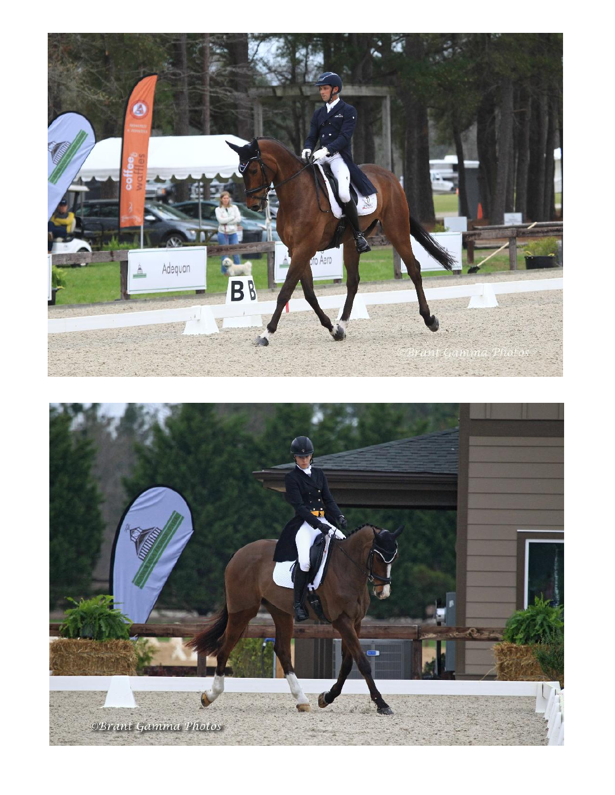

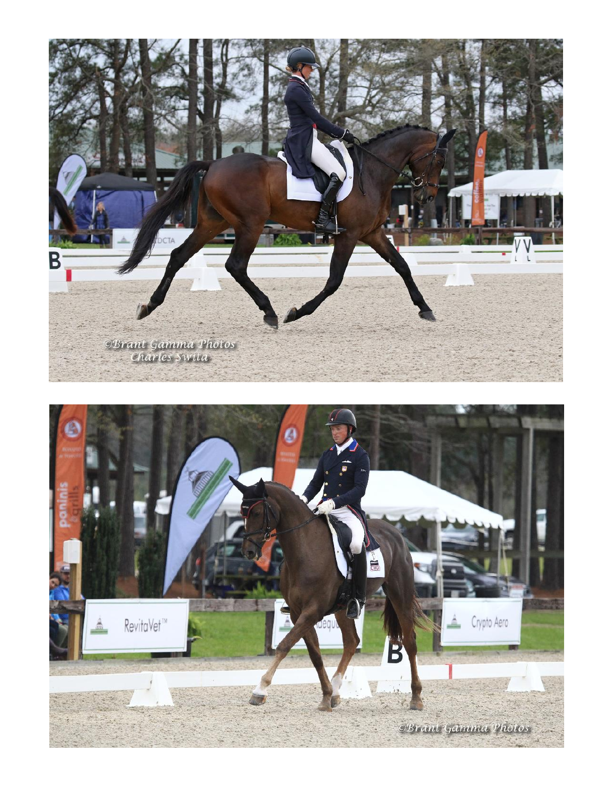